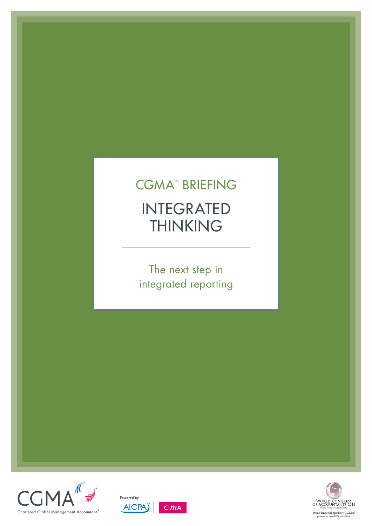# INTEGRATED THINKING CGMA<sup>®</sup> BRIEFING

The next step in integrated reporting





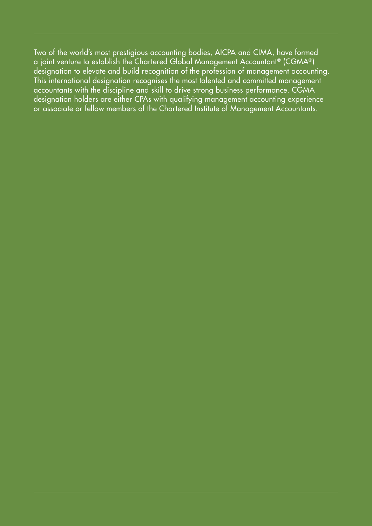Two of the world's most prestigious accounting bodies, AICPA and CIMA, have formed a joint venture to establish the Chartered Global Management Accountant® (CGMA®) designation to elevate and build recognition of the profession of management accounting. This international designation recognises the most talented and committed management accountants with the discipline and skill to drive strong business performance. CGMA designation holders are either CPAs with qualifying management accounting experience or associate or fellow members of the Chartered Institute of Management Accountants.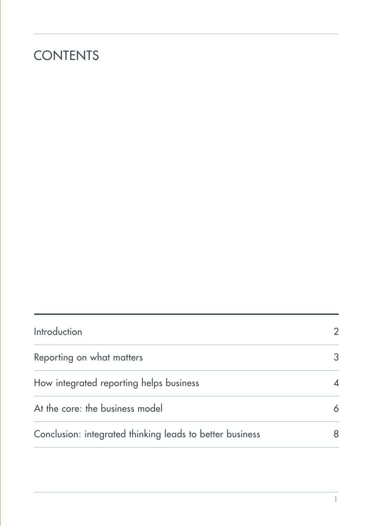# **CONTENTS**

| Introduction                                             |   |
|----------------------------------------------------------|---|
| Reporting on what matters                                | 3 |
| How integrated reporting helps business                  |   |
| At the core: the business model                          | 6 |
| Conclusion: integrated thinking leads to better business | 8 |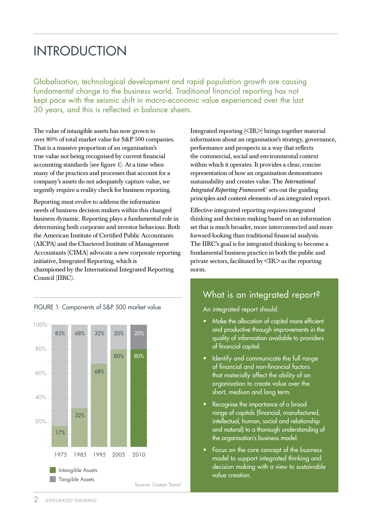# <span id="page-3-0"></span>**INTRODUCTION**

Globalisation, technological development and rapid population growth are causing fundamental change to the business world. Traditional financial reporting has not kept pace with the seismic shift in macro-economic value experienced over the last 30 years, and this is reflected in balance sheets.

The value of intangible assets has now grown to over 80% of total market value for S&P 500 companies. That is a massive proportion of an organisation's true value not being recognised by current financial accounting standards (see figure 1). At a time when many of the practices and processes that account for a company's assets do not adequately capture value, we urgently require a reality check for business reporting.

Reporting must evolve to address the information needs of business decision makers within this changed business dynamic. Reporting plays a fundamental role in determining both corporate and investor behaviour. Both the American Institute of Certified Public Accountants (AICPA) and the Chartered Institute of Management Accountants (CIMA) advocate a new corporate reporting initiative, Integrated Reporting, which is championed by the International Integrated Reporting Council (IIRC).



FIGURE 1: Components of S&P 500 market value

within which it operates. It provides a clear, concise representation of how an organisation demonstrates sustainability and creates value. The *[International](http://www.theiirc.org/international-ir-framework/)  [Integrated Reporting Framework](http://www.theiirc.org/international-ir-framework/)*<sup>2</sup> sets out the guiding principles and content elements of an integrated report. Effective integrated reporting requires integrated

Integrated reporting (<IR>) brings together material information about an organisation's strategy, governance,

performance and prospects in a way that reflects the commercial, social and environmental context

thinking and decision making based on an information set that is much broader, more interconnected and more forward-looking than traditional financial analysis. The IIRC's goal is for integrated thinking to become a fundamental business practice in both the public and private sectors, facilitated by  $\langle IR \rangle$  as the reporting norm.

## What is an integrated report[?](http://www.cgma.org/Resources/Tools/essential-tools/Pages/value-chain-analysis.aspx)

An integrated report should:

- Make the allocation of capital more efficient and productive through improvements in the quality of information available to providers of financial capital.
- Identify and communicate the full range of financial and non-financial factors that materially affect the ability of an organisation to create value over the short, medium and long term.
- Recognise the importance of a broad range of capitals (financial, manufactured, intellectual, human, social and relationship and natural) to a thorough understanding of the organisation's business model.
- Focus on the core concept of the business model to support integrated thinking and decision making with a view to sustainable value creation.

50%

Tangible Assets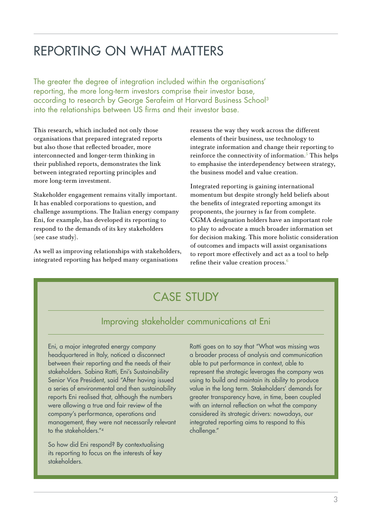# <span id="page-4-0"></span>Reporting on what matters

The greater the degree of integration included within the organisations' reporting, the more long-term investors comprise their investor base, according to research by George Serafeim at Harvard Business School<sup>3</sup> into the relationships between US firms and their investor base.

This research, which included not only those organisations that prepared integrated reports but also those that reflected broader, more interconnected and longer-term thinking in their published reports, demonstrates the link between integrated reporting principles and more long-term investment.

Stakeholder engagement remains vitally important. It has enabled corporations to question, and challenge assumptions. The Italian energy company Eni, for example, has developed its reporting to respond to the demands of its key stakeholders (see case study).

As well as improving relationships with stakeholders, integrated reporting has helped many organisations

reassess the way they work across the different elements of their business, use technology to integrate information and change their reporting to reinforce the connectivity of information.<sup>5</sup> This helps to emphasise the interdependency between strategy, the business model and value creation.

Integrated reporting is gaining international momentum but despite strongly held beliefs about the benefits of integrated reporting amongst its proponents, the journey is far from complete. CGMA designation holders have an important role to play to advocate a much broader information set for decision making. This more holistic consideration of outcomes and impacts will assist organisations to report more effectively and act as a tool to help refine their value creation process.6

# Case Study

## Improving stakeholder communications at Eni

Eni, a major integrated energy company headquartered in Italy, noticed a disconnect between their reporting and the needs of their stakeholders. Sabina Ratti, Eni's Sustainability Senior Vice President, said "After having issued a series of environmental and then sustainability reports Eni realised that, although the numbers were allowing a true and fair review of the company's performance, operations and management, they were not necessarily relevant to the stakeholders."4

So how did Eni respond? By contextualising its reporting to focus on the interests of key stakeholders.

Ratti goes on to say that "What was missing was a broader process of analysis and communication able to put performance in context, able to represent the strategic leverages the company was using to build and maintain its ability to produce value in the long term. Stakeholders' demands for greater transparency have, in time, been coupled with an internal reflection on what the company considered its strategic drivers: nowadays, our integrated reporting aims to respond to this challenge."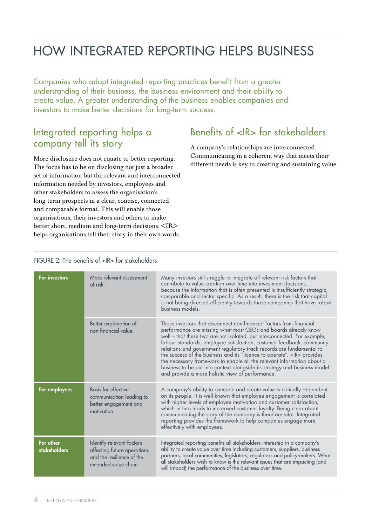# <span id="page-5-0"></span>How integrated reporting helps business

Companies who adopt integrated reporting practices benefit from a greater understanding of their business, the business environment and their ability to create value. A greater understanding of the business enables companies and investors to make better decisions for long-term success.

## Integrated reporting helps a company tell its story

More disclosure does not equate to better reporting. The focus has to be on disclosing not just a broader set of information but the relevant and interconnected information needed by investors, employees and other stakeholders to assess the organisation's long-term prospects in a clear, concise, connected and comparable format. This will enable those organisations, their investors and others to make better short, medium and long-term decisions. <IR> helps organisations tell their story in their own words.

# Benefits of <IR> for stakeholders

A company's relationships are interconnected. Communicating in a coherent way that meets their different needs is key to creating and sustaining value.

### FIGURE 2: The benefits of <IR> for stakeholders

| <b>For investors</b>      | More relevant assessment<br>of risk                                                                            | Many investors still struggle to integrate all relevant risk factors that<br>contribute to value creation over time into investment decisions,<br>because the information that is often presented is insufficiently strategic,<br>comparable and sector specific. As a result, there is the risk that capital<br>is not being directed efficiently towards those companies that have robust<br>business models.                                                                                                                                                                                                                                            |
|---------------------------|----------------------------------------------------------------------------------------------------------------|------------------------------------------------------------------------------------------------------------------------------------------------------------------------------------------------------------------------------------------------------------------------------------------------------------------------------------------------------------------------------------------------------------------------------------------------------------------------------------------------------------------------------------------------------------------------------------------------------------------------------------------------------------|
|                           | Better explanation of<br>non-financial value.                                                                  | Those investors that disconnect non-financial factors from financial<br>performance are missing what most CEOs and boards already know<br>well - that these two are not isolated, but interconnected. For example,<br>labour standards, employee satisfaction, customer feedback, community<br>relations and government regulatory track records are fundamental to<br>the success of the business and its "licence to operate". < IR> provides<br>the necessary framework to enable all the relevant information about a<br>business to be put into context alongside its strategy and business model<br>and provide a more holistic view of performance. |
| For employees             | <b>Basis for effective</b><br>communication leading to<br>better engagement and<br>motivation.                 | A company's ability to compete and create value is critically dependent<br>on its people. It is well known that employee engagement is correlated<br>with higher levels of employee motivation and customer satisfaction,<br>which in turn leads to increased customer loyalty. Being clear about<br>communicating the story of the company is therefore vital. Integrated<br>reporting provides the framework to help companies engage more<br>effectively with employees.                                                                                                                                                                                |
| For other<br>stakeholders | Identify relevant factors<br>affecting future operations<br>and the resilience of the<br>extended value chain. | Integrated reporting benefits all stakeholders interested in a company's<br>ability to create value over time including customers, suppliers, business<br>partners, local communities, legislators, regulators and policy-makers. What<br>all stakeholders wish to know is the relevant issues that are impacting (and<br>will impact) the performance of the business over time.                                                                                                                                                                                                                                                                          |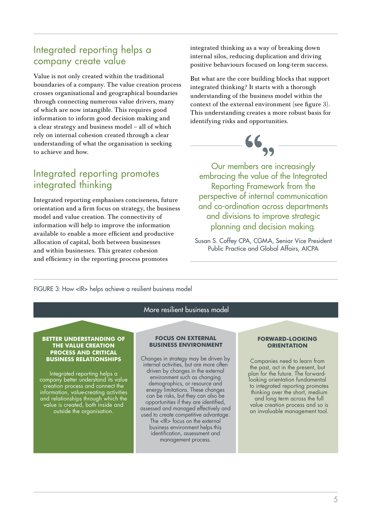## Integrated reporting helps a company create value

Value is not only created within the traditional boundaries of a company. The value creation process crosses organisational and geographical boundaries through connecting numerous value drivers, many of which are now intangible. This requires good information to inform good decision making and a clear strategy and business model – all of which rely on internal cohesion created through a clear understanding of what the organisation is seeking to achieve and how.

## Integrated reporting promotes integrated thinking

Integrated reporting emphasises conciseness, future orientation and a firm focus on strategy, the business model and value creation. The connectivity of information will help to improve the information available to enable a more efficient and productive allocation of capital, both between businesses and within businesses. This greater cohesion and efficiency in the reporting process promotes

integrated thinking as a way of breaking down internal silos, reducing duplication and driving positive behaviours focused on long-term success.

But what are the core building blocks that support integrated thinking? It starts with a thorough understanding of the business model within the context of the external environment (see figure 3). This understanding creates a more robust basis for identifying risks and opportunities.



Our members are increasingly embracing the value of the Integrated Reporting Framework from the perspective of internal communication and co-ordination across departments and divisions to improve strategic planning and decision making.

Susan S. Coffey CPA, CGMA, Senior Vice President Public Practice and Global Affairs, AICPA

FIGURE 3: How <IR> helps achieve a resilient business model

### More resilient business model

## **BETTER UNDERSTANDING OF THE VALUE CREATION PROCESS AND CRITICAL<br>BUSINESS RELATIONSHIPS**

Integrated reporting helps a company better understand its value creation process and connect the information, value-creating activities and relationships through which the value is created, both inside and outside the organisation.

#### **FOCUS ON EXTERNAL BUSINESS ENVIRONMENT**

**BUSINESS RELATIONSHIPS** Changes in strategy may be driven by internal activities, but are more often driven by changes in the external environment such as changing demographics, or resource and energy limitations. These changes can be risks, but they can also be opportunities if they are identified, assessed and managed effectively and used to create competitive advantage. The <IR> focus on the external business environment helps this identification, assessment and management process.

#### **FORWARD-LOOKING ORIENTATION**

Companies need to learn from the past, act in the present, but plan for the future. The forwardlooking orientation fundamental to integrated reporting promotes thinking over the short, medium and long term across the full value creation process and so is an invaluable management tool.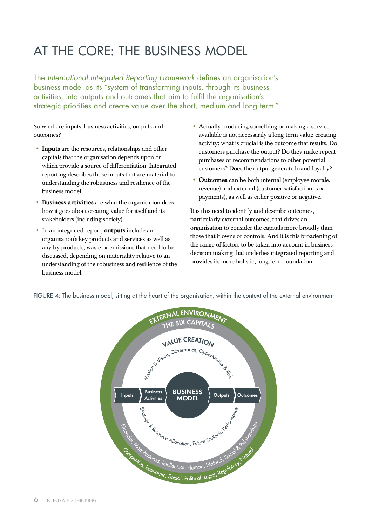# <span id="page-7-0"></span>At the core: the business model

The *International Integrated Reporting Framework* defines an organisation's business model as its "system of transforming inputs, through its business activities, into outputs and outcomes that aim to fulfil the organisation's strategic priorities and create value over the short, medium and long term."

So what are inputs, business activities, outputs and outcomes?

- Inputs are the resources, relationships and other capitals that the organisation depends upon or which provide a source of differentiation. Integrated reporting describes those inputs that are material to understanding the robustness and resilience of the business model.
- Business activities are what the organisation does, how it goes about creating value for itself and its stakeholders (including society).
- In an integrated report, **outputs** include an organisation's key products and services as well as any by-products, waste or emissions that need to be discussed, depending on materiality relative to an understanding of the robustness and resilience of the business model.
- • Actually producing something or making a service available is not necessarily a long-term value-creating activity; what is crucial is the outcome that results. Do customers purchase the output? Do they make repeat purchases or recommendations to other potential customers? Does the output generate brand loyalty?
- Outcomes can be both internal (employee morale, revenue) and external (customer satisfaction, tax payments), as well as either positive or negative.

It is this need to identify and describe outcomes, particularly external outcomes, that drives an organisation to consider the capitals more broadly than those that it owns or controls. And it is this broadening of the range of factors to be taken into account in business decision making that underlies integrated reporting and provides its more holistic, long-term foundation.



FIGURE 4: The business model, sitting at the heart of the organisation, within the context of the external environment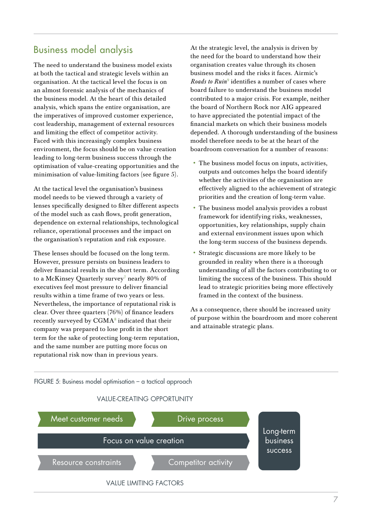## Business model analysis

The need to understand the business model exists at both the tactical and strategic levels within an organisation. At the tactical level the focus is on an almost forensic analysis of the mechanics of the business model. At the heart of this detailed analysis, which spans the entire organisation, are the imperatives of improved customer experience, cost leadership, management of external resources and limiting the effect of competitor activity. Faced with this increasingly complex business environment, the focus should be on value creation leading to long-term business success through the optimisation of value-creating opportunities and the minimisation of value-limiting factors (see figure 5).

At the tactical level the organisation's business model needs to be viewed through a variety of lenses specifically designed to filter different aspects of the model such as cash flows, profit generation, dependence on external relationships, technological reliance, operational processes and the impact on the organisation's reputation and risk exposure.

These lenses should be focused on the long term. However, pressure persists on business leaders to deliver financial results in the short term. According to a McKinsey Quarterly survey $^7$  nearly  $80\%$  of executives feel most pressure to deliver financial results within a time frame of two years or less. Nevertheless, the importance of reputational risk is clear. Over three quarters (76%) of finance leaders recently surveyed by  $\text{CGMA}^8$  indicated that their company was prepared to lose profit in the short term for the sake of protecting long-term reputation, and the same number are putting more focus on reputational risk now than in previous years.

At the strategic level, the analysis is driven by the need for the board to understand how their organisation creates value through its chosen business model and the risks it faces. Airmic's *[Roads to Ruin](http://www.cimaglobal.com/Events-and-cpd-courses/Local-events-search/Research-events/CIMA-and-Airmic-risk-management-event/Roads-to-ruin-a-study-of-major-risk-events/)*<sup>9</sup> identifies a number of cases where board failure to understand the business model contributed to a major crisis. For example, neither the board of Northern Rock nor AIG appeared to have appreciated the potential impact of the financial markets on which their business models depended. A thorough understanding of the business model therefore needs to be at the heart of the boardroom conversation for a number of reasons:

- The business model focus on inputs, activities, outputs and outcomes helps the board identify whether the activities of the organisation are effectively aligned to the achievement of strategic priorities and the creation of long-term value.
- • The business model analysis provides a robust framework for identifying risks, weaknesses, opportunities, key relationships, supply chain and external environment issues upon which the long-term success of the business depends.
- • Strategic discussions are more likely to be grounded in reality when there is a thorough understanding of all the factors contributing to or limiting the success of the business. This should lead to strategic priorities being more effectively framed in the context of the business.

As a consequence, there should be increased unity of purpose within the boardroom and more coherent and attainable strategic plans.

### FIGURE 5: Business model optimisation – a tactical approach

### VALUE-CREATING OPPORTUNITY

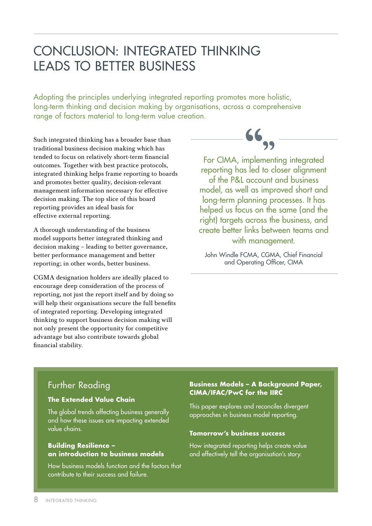# <span id="page-9-0"></span>Conclusion: INTEGRATED THINKING leads to better business

Adopting the principles underlying integrated reporting promotes more holistic, long-term thinking and decision making by organisations, across a comprehensive range of factors material to long-term value creation.

Such integrated thinking has a broader base than traditional business decision making which has tended to focus on relatively short-term financial outcomes. Together with best practice protocols, integrated thinking helps frame reporting to boards and promotes better quality, decision-relevant management information necessary for effective decision making. The top slice of this board reporting provides an ideal basis for effective external reporting.

A thorough understanding of the business model supports better integrated thinking and decision making – leading to better governance, better performance management and better reporting; in other words, better business.

CGMA designation holders are ideally placed to encourage deep consideration of the process of reporting, not just the report itself and by doing so will help their organisations secure the full benefits of integrated reporting. Developing integrated thinking to support business decision making will not only present the opportunity for competitive advantage but also contribute towards global financial stability.



For CIMA, implementing integrated reporting has led to closer alignment of the P&L account and business model, as well as improved short and long-term planning processes. It has helped us focus on the same (and the right) targets across the business, and create better links between teams and with management.

John Windle FCMA, CGMA, Chief Financial and Operating Officer, CIMA

## Further Reading

### **[The Extended Value Chain](http://www.cgma.org/Resources/Pages/Rethinking-the-value-chain.aspx)**

The global trends affecting business generally and how these issues are impacting extended value chains.

### **[Building Resilience –](http://www.cgma.org/Resources/Reports/Pages/building-resilience-an-introduction-to-business-models.aspx)  [an introduction to business models](http://www.cgma.org/Resources/Reports/Pages/building-resilience-an-introduction-to-business-models.aspx)**

How business models function and the factors that contribute to their success and failure.

### **[Business Models – A Background Paper,](http://www.theiirc.org/wp-content/uploads/2013/03/Business_Model.pdf)  [CIMA/IFAC/PwC for the IIRC](http://www.theiirc.org/wp-content/uploads/2013/03/Business_Model.pdf)**

This paper explores and reconciles divergent approaches in business model reporting.

### **[Tomorrow's business success](http://www.cimaglobal.com/Thought-leadership/Research-topics/Financial-reporting/Using-integrated-reporting-to-help-create-value-and-effectively-tell-the-full-story/)**

How integrated reporting helps create value and effectively tell the organisation's story.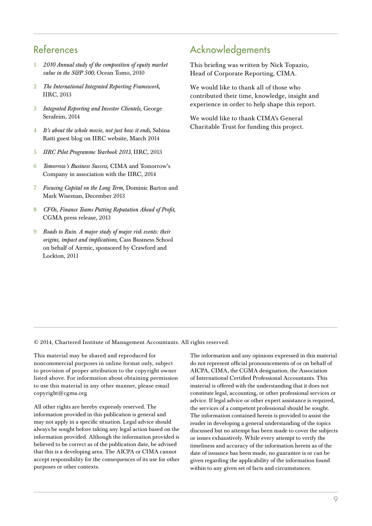## References

- 1 *[2010 Annual study of the composition of equity market](http://www.oceantomo.com/productsandservices/investments/intangible-market-value)  [value in the S&P 500,](http://www.oceantomo.com/productsandservices/investments/intangible-market-value)* Ocean Tomo, 2010
- 2 *[The International Integrated Reporting Framework](http://www.theiirc.org/international-ir-framework/)*, [IIRC, 2013](http://www.theiirc.org/international-ir-framework/)
- 3 *[Integrated Reporting and Investor Clientele](http://www.insead.edu/facultyresearch/areas/accounting/events/documents/IRInvestorBase_Serafeim.pdf)*, George [Serafeim, 2014](http://www.insead.edu/facultyresearch/areas/accounting/events/documents/IRInvestorBase_Serafeim.pdf)
- 4 *[It's about the whole movie, not just how it ends](http://www.theiirc.org/2014/03/25/its-about-the-whole-movie-not-just-how-it-ends/)*, Sabina [Ratti guest blog on IIRC website, March 2014](http://www.theiirc.org/2014/03/25/its-about-the-whole-movie-not-just-how-it-ends/)
- 5 *[IIRC Pilot Programme Yearbook 2013](http://www.theiirc.org/resources-2/other-publications/iirc-pilot-programme-yearbook-2013-business-and-investors-explore-the-sustainability-perspective/)*, IIRC, 2013
- 6 *Tomorrow's Business Success*[, CIMA and Tomorrow's](www.tomorrowsbusinesssuccess.com)  [Company in association with the IIRC, 2014](www.tomorrowsbusinesssuccess.com)
- 7 *[Focusing Capital on the Long Term](http://www.mckinsey.com/insights/leading_in_the_21st_century/focusing_capital_on_the_long_term)*, Dominic Barton and [Mark Wiseman, December 2013](http://www.mckinsey.com/insights/leading_in_the_21st_century/focusing_capital_on_the_long_term)
- 8 *[CFOs, Finance Teams Putting Reputation Ahead of Profit](http://www.cgma.org/AboutUs/Press/Pages/putting-reputation-ahead-of-profit.aspx)*, CGMA press release, 2013
- 9 *[Roads to Ruin. A major study of major risk events: their](http://www.cimaglobal.com/Events-and-cpd-courses/Local-events-search/Research-events/CIMA-and-Airmic-risk-management-event/Roads-to-ruin-a-study-of-major-risk-events/)  [origins, impact and implications](http://www.cimaglobal.com/Events-and-cpd-courses/Local-events-search/Research-events/CIMA-and-Airmic-risk-management-event/Roads-to-ruin-a-study-of-major-risk-events/)*, Cass Business School [on behalf of Airmic, sponsored by Crawford and](http://www.cimaglobal.com/Events-and-cpd-courses/Local-events-search/Research-events/CIMA-and-Airmic-risk-management-event/Roads-to-ruin-a-study-of-major-risk-events/)  [Lockton, 2011](http://www.cimaglobal.com/Events-and-cpd-courses/Local-events-search/Research-events/CIMA-and-Airmic-risk-management-event/Roads-to-ruin-a-study-of-major-risk-events/)

## Acknowledgements

This briefing was written by Nick Topazio, Head of Corporate Reporting, CIMA.

We would like to thank all of those who contributed their time, knowledge, insight and experience in order to help shape this report.

We would like to thank CIMA's General Charitable Trust for funding this project.

© 2014, Chartered Institute of Management Accountants. All rights reserved.

This material may be shared and reproduced for noncommercial purposes in online format only, subject to provision of proper attribution to the copyright owner listed above. For information about obtaining permission to use this material in any other manner, please email copyright@cgma.org

All other rights are hereby expressly reserved. The information provided in this publication is general and may not apply in a specific situation. Legal advice should always be sought before taking any legal action based on the information provided. Although the information provided is believed to be correct as of the publication date, be advised that this is a developing area. The AICPA or CIMA cannot accept responsibility for the consequences of its use for other purposes or other contexts.

The information and any opinions expressed in this material do not represent official pronouncements of or on behalf of AICPA, CIMA, the CGMA designation, the Association of International Certified Professional Accountants. This material is offered with the understanding that it does not constitute legal, accounting, or other professional services or advice. If legal advice or other expert assistance is required, the services of a competent professional should be sought. The information contained herein is provided to assist the reader in developing a general understanding of the topics discussed but no attempt has been made to cover the subjects or issues exhaustively. While every attempt to verify the timeliness and accuracy of the information herein as of the date of issuance has been made, no guarantee is or can be given regarding the applicability of the information found within to any given set of facts and circumstances.